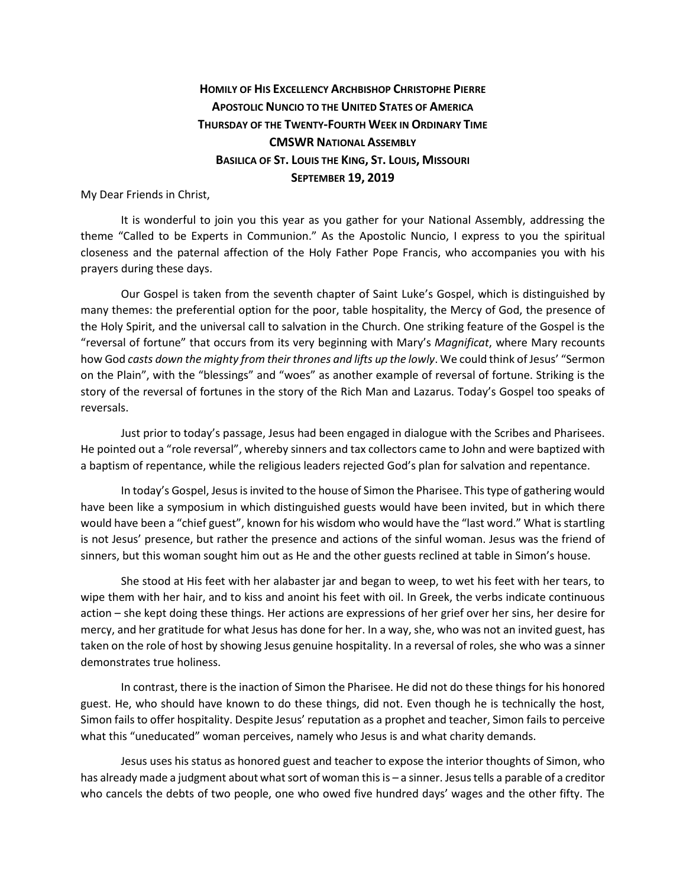## **HOMILY OF HIS EXCELLENCY ARCHBISHOP CHRISTOPHE PIERRE APOSTOLIC NUNCIO TO THE UNITED STATES OF AMERICA THURSDAY OF THE TWENTY-FOURTH WEEK IN ORDINARY TIME CMSWR NATIONAL ASSEMBLY BASILICA OF ST. LOUIS THE KING, ST. LOUIS, MISSOURI SEPTEMBER 19, 2019**

My Dear Friends in Christ,

It is wonderful to join you this year as you gather for your National Assembly, addressing the theme "Called to be Experts in Communion." As the Apostolic Nuncio, I express to you the spiritual closeness and the paternal affection of the Holy Father Pope Francis, who accompanies you with his prayers during these days.

Our Gospel is taken from the seventh chapter of Saint Luke's Gospel, which is distinguished by many themes: the preferential option for the poor, table hospitality, the Mercy of God, the presence of the Holy Spirit, and the universal call to salvation in the Church. One striking feature of the Gospel is the "reversal of fortune" that occurs from its very beginning with Mary's *Magnificat*, where Mary recounts how God *casts down the mighty from their thrones and lifts up the lowly*. We could think of Jesus' "Sermon on the Plain", with the "blessings" and "woes" as another example of reversal of fortune. Striking is the story of the reversal of fortunes in the story of the Rich Man and Lazarus. Today's Gospel too speaks of reversals.

Just prior to today's passage, Jesus had been engaged in dialogue with the Scribes and Pharisees. He pointed out a "role reversal", whereby sinners and tax collectors came to John and were baptized with a baptism of repentance, while the religious leaders rejected God's plan for salvation and repentance.

In today's Gospel, Jesus is invited to the house of Simon the Pharisee. This type of gathering would have been like a symposium in which distinguished guests would have been invited, but in which there would have been a "chief guest", known for his wisdom who would have the "last word." What is startling is not Jesus' presence, but rather the presence and actions of the sinful woman. Jesus was the friend of sinners, but this woman sought him out as He and the other guests reclined at table in Simon's house.

She stood at His feet with her alabaster jar and began to weep, to wet his feet with her tears, to wipe them with her hair, and to kiss and anoint his feet with oil. In Greek, the verbs indicate continuous action – she kept doing these things. Her actions are expressions of her grief over her sins, her desire for mercy, and her gratitude for what Jesus has done for her. In a way, she, who was not an invited guest, has taken on the role of host by showing Jesus genuine hospitality. In a reversal of roles, she who was a sinner demonstrates true holiness.

In contrast, there is the inaction of Simon the Pharisee. He did not do these things for his honored guest. He, who should have known to do these things, did not. Even though he is technically the host, Simon fails to offer hospitality. Despite Jesus' reputation as a prophet and teacher, Simon fails to perceive what this "uneducated" woman perceives, namely who Jesus is and what charity demands.

Jesus uses his status as honored guest and teacher to expose the interior thoughts of Simon, who has already made a judgment about what sort of woman this is – a sinner. Jesus tells a parable of a creditor who cancels the debts of two people, one who owed five hundred days' wages and the other fifty. The